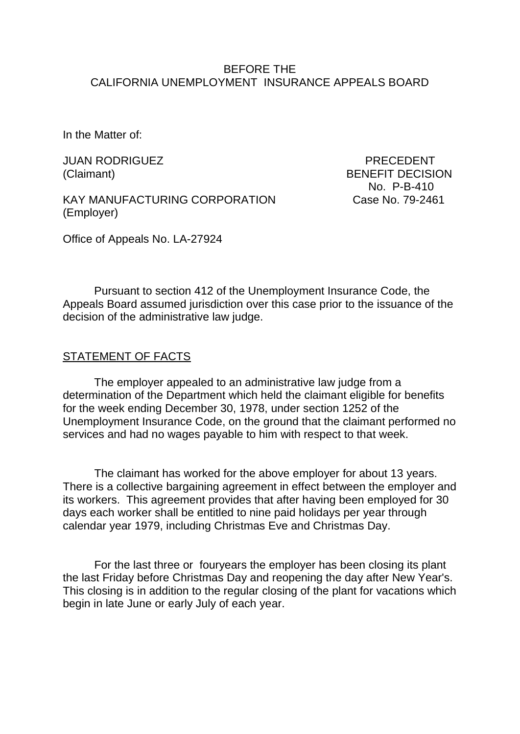## BEFORE THE CALIFORNIA UNEMPLOYMENT INSURANCE APPEALS BOARD

In the Matter of:

JUAN RODRIGUEZ PRECEDENT

KAY MANUFACTURING CORPORATION Case No. 79-2461 (Employer)

(Claimant) BENEFIT DECISION No. P-B-410

Office of Appeals No. LA-27924

Pursuant to section 412 of the Unemployment Insurance Code, the Appeals Board assumed jurisdiction over this case prior to the issuance of the decision of the administrative law judge.

### STATEMENT OF FACTS

The employer appealed to an administrative law judge from a determination of the Department which held the claimant eligible for benefits for the week ending December 30, 1978, under section 1252 of the Unemployment Insurance Code, on the ground that the claimant performed no services and had no wages payable to him with respect to that week.

The claimant has worked for the above employer for about 13 years. There is a collective bargaining agreement in effect between the employer and its workers. This agreement provides that after having been employed for 30 days each worker shall be entitled to nine paid holidays per year through calendar year 1979, including Christmas Eve and Christmas Day.

For the last three or fouryears the employer has been closing its plant the last Friday before Christmas Day and reopening the day after New Year's. This closing is in addition to the regular closing of the plant for vacations which begin in late June or early July of each year.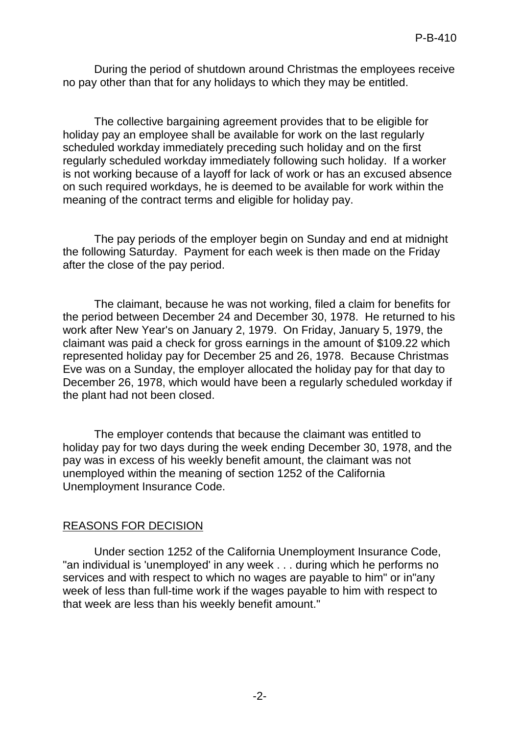During the period of shutdown around Christmas the employees receive no pay other than that for any holidays to which they may be entitled.

The collective bargaining agreement provides that to be eligible for holiday pay an employee shall be available for work on the last regularly scheduled workday immediately preceding such holiday and on the first regularly scheduled workday immediately following such holiday. If a worker is not working because of a layoff for lack of work or has an excused absence on such required workdays, he is deemed to be available for work within the meaning of the contract terms and eligible for holiday pay.

The pay periods of the employer begin on Sunday and end at midnight the following Saturday. Payment for each week is then made on the Friday after the close of the pay period.

The claimant, because he was not working, filed a claim for benefits for the period between December 24 and December 30, 1978. He returned to his work after New Year's on January 2, 1979. On Friday, January 5, 1979, the claimant was paid a check for gross earnings in the amount of \$109.22 which represented holiday pay for December 25 and 26, 1978. Because Christmas Eve was on a Sunday, the employer allocated the holiday pay for that day to December 26, 1978, which would have been a regularly scheduled workday if the plant had not been closed.

The employer contends that because the claimant was entitled to holiday pay for two days during the week ending December 30, 1978, and the pay was in excess of his weekly benefit amount, the claimant was not unemployed within the meaning of section 1252 of the California Unemployment Insurance Code.

### REASONS FOR DECISION

Under section 1252 of the California Unemployment Insurance Code, "an individual is 'unemployed' in any week . . . during which he performs no services and with respect to which no wages are payable to him" or in"any week of less than full-time work if the wages payable to him with respect to that week are less than his weekly benefit amount."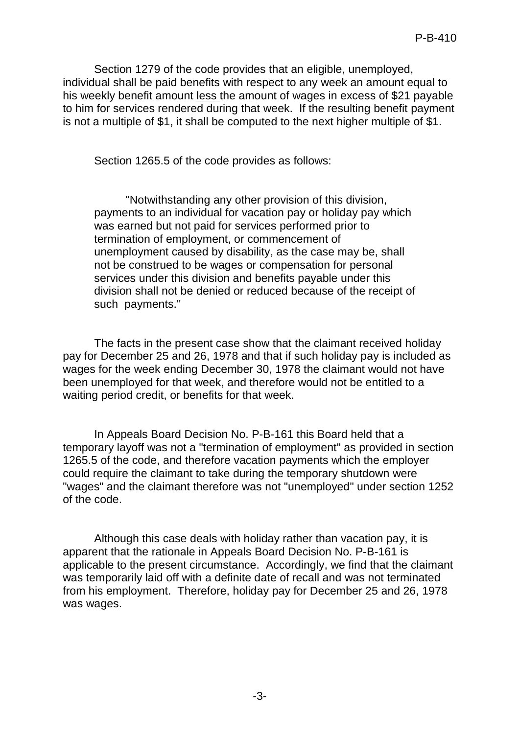Section 1279 of the code provides that an eligible, unemployed, individual shall be paid benefits with respect to any week an amount equal to his weekly benefit amount less the amount of wages in excess of \$21 payable to him for services rendered during that week. If the resulting benefit payment is not a multiple of \$1, it shall be computed to the next higher multiple of \$1.

Section 1265.5 of the code provides as follows:

"Notwithstanding any other provision of this division, payments to an individual for vacation pay or holiday pay which was earned but not paid for services performed prior to termination of employment, or commencement of unemployment caused by disability, as the case may be, shall not be construed to be wages or compensation for personal services under this division and benefits payable under this division shall not be denied or reduced because of the receipt of such payments."

The facts in the present case show that the claimant received holiday pay for December 25 and 26, 1978 and that if such holiday pay is included as wages for the week ending December 30, 1978 the claimant would not have been unemployed for that week, and therefore would not be entitled to a waiting period credit, or benefits for that week.

In Appeals Board Decision No. P-B-161 this Board held that a temporary layoff was not a "termination of employment" as provided in section 1265.5 of the code, and therefore vacation payments which the employer could require the claimant to take during the temporary shutdown were "wages" and the claimant therefore was not "unemployed" under section 1252 of the code.

Although this case deals with holiday rather than vacation pay, it is apparent that the rationale in Appeals Board Decision No. P-B-161 is applicable to the present circumstance. Accordingly, we find that the claimant was temporarily laid off with a definite date of recall and was not terminated from his employment. Therefore, holiday pay for December 25 and 26, 1978 was wages.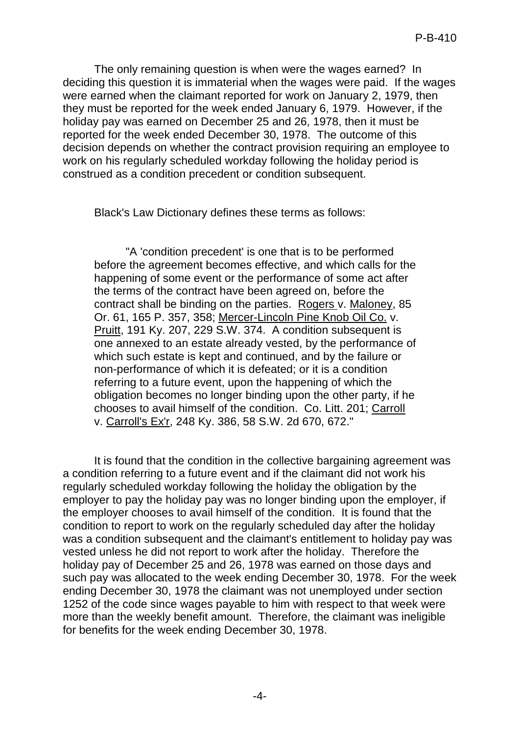The only remaining question is when were the wages earned? In deciding this question it is immaterial when the wages were paid. If the wages were earned when the claimant reported for work on January 2, 1979, then they must be reported for the week ended January 6, 1979. However, if the holiday pay was earned on December 25 and 26, 1978, then it must be reported for the week ended December 30, 1978. The outcome of this decision depends on whether the contract provision requiring an employee to work on his regularly scheduled workday following the holiday period is construed as a condition precedent or condition subsequent.

Black's Law Dictionary defines these terms as follows:

"A 'condition precedent' is one that is to be performed before the agreement becomes effective, and which calls for the happening of some event or the performance of some act after the terms of the contract have been agreed on, before the contract shall be binding on the parties. Rogers v. Maloney, 85 Or. 61, 165 P. 357, 358; Mercer-Lincoln Pine Knob Oil Co. v. Pruitt, 191 Ky. 207, 229 S.W. 374. A condition subsequent is one annexed to an estate already vested, by the performance of which such estate is kept and continued, and by the failure or non-performance of which it is defeated; or it is a condition referring to a future event, upon the happening of which the obligation becomes no longer binding upon the other party, if he chooses to avail himself of the condition. Co. Litt. 201; Carroll v. Carroll's Ex'r, 248 Ky. 386, 58 S.W. 2d 670, 672."

It is found that the condition in the collective bargaining agreement was a condition referring to a future event and if the claimant did not work his regularly scheduled workday following the holiday the obligation by the employer to pay the holiday pay was no longer binding upon the employer, if the employer chooses to avail himself of the condition. It is found that the condition to report to work on the regularly scheduled day after the holiday was a condition subsequent and the claimant's entitlement to holiday pay was vested unless he did not report to work after the holiday. Therefore the holiday pay of December 25 and 26, 1978 was earned on those days and such pay was allocated to the week ending December 30, 1978. For the week ending December 30, 1978 the claimant was not unemployed under section 1252 of the code since wages payable to him with respect to that week were more than the weekly benefit amount. Therefore, the claimant was ineligible for benefits for the week ending December 30, 1978.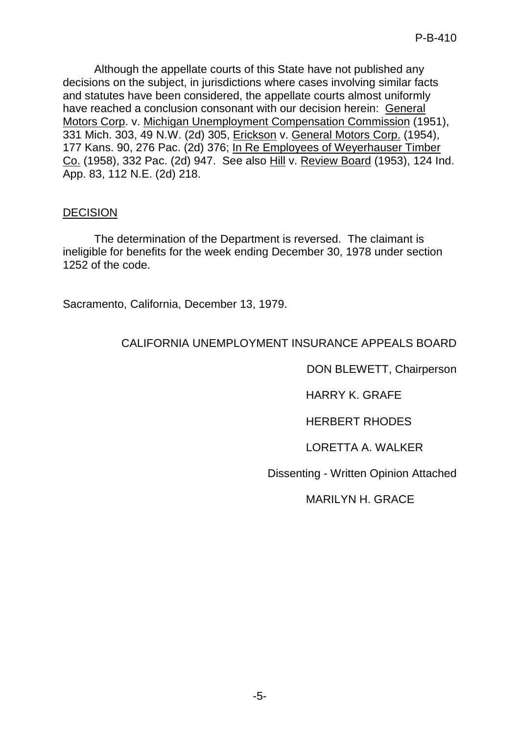Although the appellate courts of this State have not published any decisions on the subject, in jurisdictions where cases involving similar facts and statutes have been considered, the appellate courts almost uniformly have reached a conclusion consonant with our decision herein: General Motors Corp. v. Michigan Unemployment Compensation Commission (1951), 331 Mich. 303, 49 N.W. (2d) 305, Erickson v. General Motors Corp. (1954), 177 Kans. 90, 276 Pac. (2d) 376; In Re Employees of Weyerhauser Timber Co. (1958), 332 Pac. (2d) 947. See also Hill v. Review Board (1953), 124 Ind. App. 83, 112 N.E. (2d) 218.

### **DECISION**

The determination of the Department is reversed. The claimant is ineligible for benefits for the week ending December 30, 1978 under section 1252 of the code.

Sacramento, California, December 13, 1979.

# CALIFORNIA UNEMPLOYMENT INSURANCE APPEALS BOARD

DON BLEWETT, Chairperson

HARRY K. GRAFE

HERBERT RHODES

LORETTA A. WALKER

Dissenting - Written Opinion Attached

MARILYN H. GRACE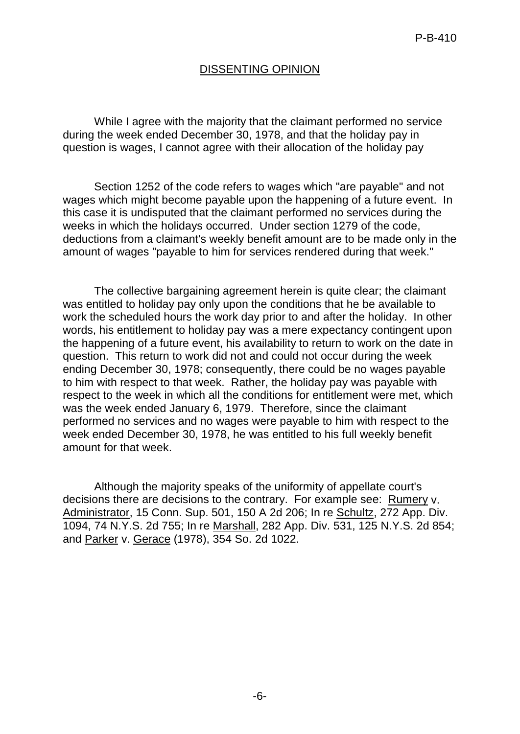# DISSENTING OPINION

While I agree with the majority that the claimant performed no service during the week ended December 30, 1978, and that the holiday pay in question is wages, I cannot agree with their allocation of the holiday pay

Section 1252 of the code refers to wages which "are payable" and not wages which might become payable upon the happening of a future event. In this case it is undisputed that the claimant performed no services during the weeks in which the holidays occurred. Under section 1279 of the code, deductions from a claimant's weekly benefit amount are to be made only in the amount of wages "payable to him for services rendered during that week."

The collective bargaining agreement herein is quite clear; the claimant was entitled to holiday pay only upon the conditions that he be available to work the scheduled hours the work day prior to and after the holiday. In other words, his entitlement to holiday pay was a mere expectancy contingent upon the happening of a future event, his availability to return to work on the date in question. This return to work did not and could not occur during the week ending December 30, 1978; consequently, there could be no wages payable to him with respect to that week. Rather, the holiday pay was payable with respect to the week in which all the conditions for entitlement were met, which was the week ended January 6, 1979. Therefore, since the claimant performed no services and no wages were payable to him with respect to the week ended December 30, 1978, he was entitled to his full weekly benefit amount for that week.

Although the majority speaks of the uniformity of appellate court's decisions there are decisions to the contrary. For example see: Rumery v. Administrator, 15 Conn. Sup. 501, 150 A 2d 206; In re Schultz, 272 App. Div. 1094, 74 N.Y.S. 2d 755; In re Marshall, 282 App. Div. 531, 125 N.Y.S. 2d 854; and Parker v. Gerace (1978), 354 So. 2d 1022.